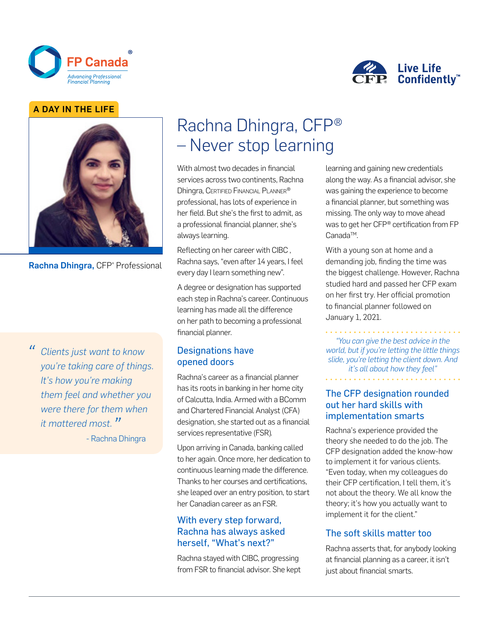



#### A DAY IN THE LIFE



Rachna Dhingra, CFP® Professional

*" Clients just want to know you're taking care of things. It's how you're making them feel and whether you were there for them when it mattered most. "* - Rachna Dhingra

# Rachna Dhingra, CFP® – Never stop learning

With almost two decades in financial services across two continents, Rachna Dhingra, Certified Financial Planner® professional, has lots of experience in her field. But she's the first to admit, as a professional financial planner, she's always learning.

Reflecting on her career with CIBC , Rachna says, "even after 14 years, I feel every day I learn something new".

A degree or designation has supported each step in Rachna's career. Continuous learning has made all the difference on her path to becoming a professional financial planner.

#### Designations have opened doors

Rachna's career as a financial planner has its roots in banking in her home city of Calcutta, India. Armed with a BComm and Chartered Financial Analyst (CFA) designation, she started out as a financial services representative (FSR).

Upon arriving in Canada, banking called to her again. Once more, her dedication to continuous learning made the difference. Thanks to her courses and certifications, she leaped over an entry position, to start her Canadian career as an FSR.

## With every step forward, Rachna has always asked herself, "What's next?"

Rachna stayed with CIBC, progressing from FSR to financial advisor. She kept learning and gaining new credentials along the way. As a financial advisor, she was gaining the experience to become a financial planner, but something was missing. The only way to move ahead was to get her CFP® certification from FP Canada<sup>™</sup>.

With a young son at home and a demanding job, finding the time was the biggest challenge. However, Rachna studied hard and passed her CFP exam on her first try. Her official promotion to financial planner followed on January 1, 2021.

*"You can give the best advice in the world, but if you're letting the little things slide, you're letting the client down. And it's all about how they feel"*

The CFP designation rounded out her hard skills with implementation smarts

Rachna's experience provided the theory she needed to do the job. The CFP designation added the know-how to implement it for various clients. "Even today, when my colleagues do their CFP certification, I tell them, it's not about the theory. We all know the theory; it's how you actually want to implement it for the client."

## The soft skills matter too

Rachna asserts that, for anybody looking at financial planning as a career, it isn't just about financial smarts.